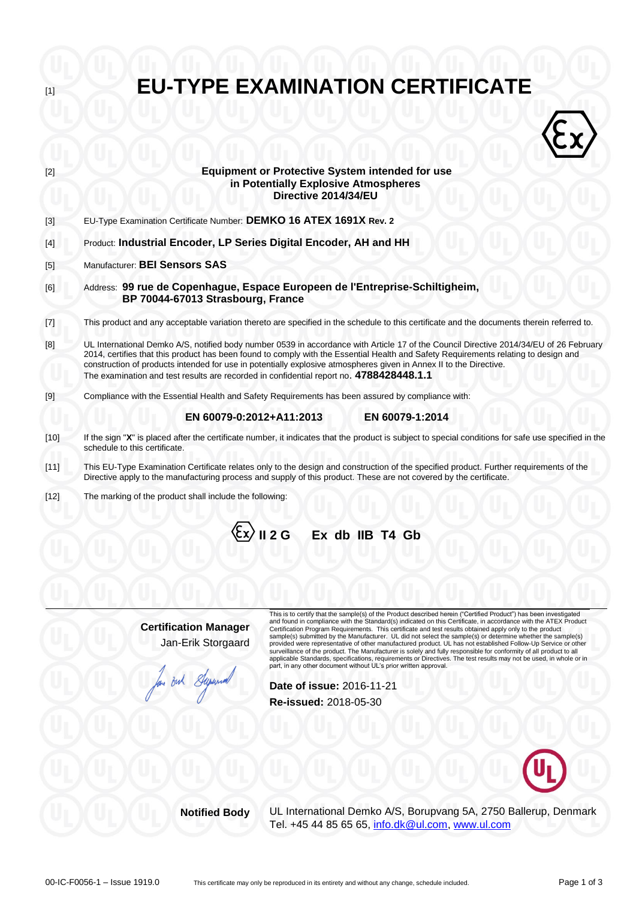| $[1]$  | <b>EU-TYPE EXAMINATION CERTIFICATE</b>                                                                                                                                                                                                                                                                                                                                                                                                                                                                                                                             |
|--------|--------------------------------------------------------------------------------------------------------------------------------------------------------------------------------------------------------------------------------------------------------------------------------------------------------------------------------------------------------------------------------------------------------------------------------------------------------------------------------------------------------------------------------------------------------------------|
|        |                                                                                                                                                                                                                                                                                                                                                                                                                                                                                                                                                                    |
| $[2]$  | <b>Equipment or Protective System intended for use</b><br>in Potentially Explosive Atmospheres<br>Directive 2014/34/EU                                                                                                                                                                                                                                                                                                                                                                                                                                             |
| $[3]$  | EU-Type Examination Certificate Number: DEMKO 16 ATEX 1691X Rev. 2                                                                                                                                                                                                                                                                                                                                                                                                                                                                                                 |
| $[4]$  | Product: Industrial Encoder, LP Series Digital Encoder, AH and HH                                                                                                                                                                                                                                                                                                                                                                                                                                                                                                  |
| $[5]$  | Manufacturer: BEI Sensors SAS                                                                                                                                                                                                                                                                                                                                                                                                                                                                                                                                      |
| [6]    | Address: 99 rue de Copenhague, Espace Europeen de l'Entreprise-Schiltigheim,<br>BP 70044-67013 Strasbourg, France                                                                                                                                                                                                                                                                                                                                                                                                                                                  |
| $[7]$  | This product and any acceptable variation thereto are specified in the schedule to this certificate and the documents therein referred to.                                                                                                                                                                                                                                                                                                                                                                                                                         |
| [8]    | UL International Demko A/S, notified body number 0539 in accordance with Article 17 of the Council Directive 2014/34/EU of 26 February<br>2014, certifies that this product has been found to comply with the Essential Health and Safety Requirements relating to design and<br>construction of products intended for use in potentially explosive atmospheres given in Annex II to the Directive.<br>The examination and test results are recorded in confidential report no. 4788428448.1.1                                                                     |
| $[9]$  | Compliance with the Essential Health and Safety Requirements has been assured by compliance with:                                                                                                                                                                                                                                                                                                                                                                                                                                                                  |
|        | EN 60079-0:2012+A11:2013<br>EN 60079-1:2014                                                                                                                                                                                                                                                                                                                                                                                                                                                                                                                        |
| $[10]$ | If the sign "X" is placed after the certificate number, it indicates that the product is subject to special conditions for safe use specified in the<br>schedule to this certificate.                                                                                                                                                                                                                                                                                                                                                                              |
| $[11]$ | This EU-Type Examination Certificate relates only to the design and construction of the specified product. Further requirements of the<br>Directive apply to the manufacturing process and supply of this product. These are not covered by the certificate.                                                                                                                                                                                                                                                                                                       |
| $[12]$ | The marking of the product shall include the following:                                                                                                                                                                                                                                                                                                                                                                                                                                                                                                            |
|        | Ex db IIB T4 Gb<br>II 2G                                                                                                                                                                                                                                                                                                                                                                                                                                                                                                                                           |
|        | This is to certify that the sample(s) of the Product described herein ("Certified Product") has been investigated<br>and found in compliance with the Standard(s) indicated on this Certificate, in accordance with the ATEX Product<br><b>Certification Manager</b><br>Certification Program Requirements. This certificate and test results obtained apply only to the product                                                                                                                                                                                   |
|        | sample(s) submitted by the Manufacturer. UL did not select the sample(s) or determine whether the sample(s)<br>Jan-Erik Storgaard<br>provided were representative of other manufactured product. UL has not established Follow-Up Service or other<br>surveillance of the product. The Manufacturer is solely and fully responsible for conformity of all product to all<br>applicable Standards, specifications, requirements or Directives. The test results may not be used, in whole or in<br>part, in any other document without UL's prior written approval. |
|        | But Super<br>Date of issue: 2016-11-21                                                                                                                                                                                                                                                                                                                                                                                                                                                                                                                             |
|        | Re-issued: 2018-05-30                                                                                                                                                                                                                                                                                                                                                                                                                                                                                                                                              |
|        |                                                                                                                                                                                                                                                                                                                                                                                                                                                                                                                                                                    |



**Notified Body** UL International Demko A/S, Borupvang 5A, 2750 Ballerup, Denmark Tel. +45 44 85 65 65, [info.dk@ul.com,](mailto:info.dk@ul.com) [www.ul.com](http://www.ul.com/)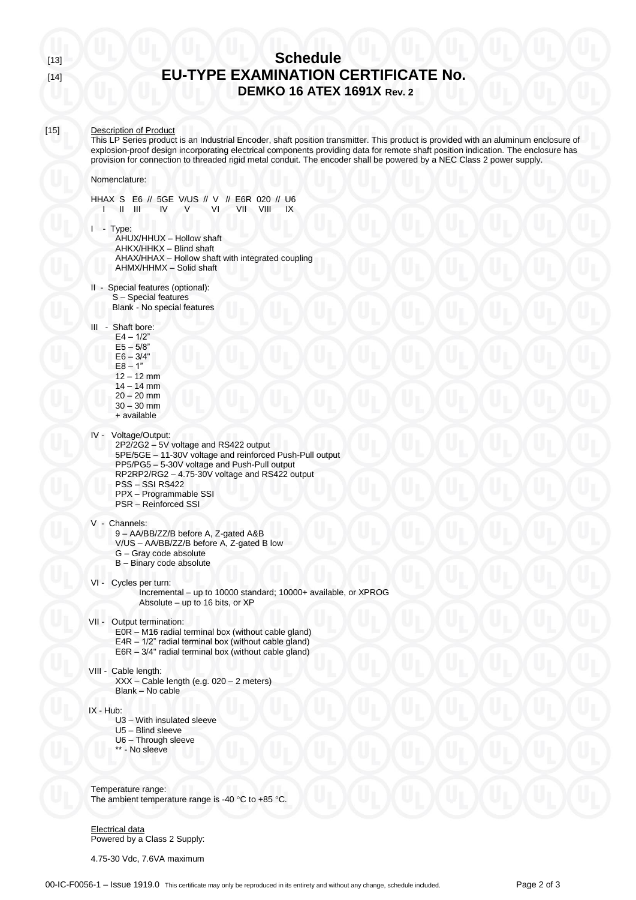# [13] **Schedule** [14] **EU-TYPE EXAMINATION CERTIFICATE No. DEMKO 16 ATEX 1691X Rev. 2**

# [15] Description of Product

This LP Series product is an Industrial Encoder, shaft position transmitter. This product is provided with an aluminum enclosure of explosion-proof design incorporating electrical components providing data for remote shaft position indication. The enclosure has provision for connection to threaded rigid metal conduit. The encoder shall be powered by a NEC Class 2 power supply.

#### Nomenclature:

HHAX S E6 // 5GE V/US // V // E6R 020 // U6<br>I II III IV V VI VII VIII IX  $I = II$  III

I - Type:

- AHUX/HHUX Hollow shaft AHKX/HHKX – Blind shaft AHAX/HHAX – Hollow shaft with integrated coupling AHMX/HHMX – Solid shaft
- II Special features (optional): S – Special features Blank - No special features
- III Shaft bore:
	- $E4 1/2"$  $E5 - 5/8$ "  $E6 - 3/4"$  $E8 - 1"$  $12 - 12$  mm  $14 - 14$  mm  $20 - 20$  mm 30 – 30 mm
	- + available
- IV Voltage/Output:
	- 2P2/2G2 5V voltage and RS422 output 5PE/5GE – 11-30V voltage and reinforced Push-Pull output PP5/PG5 – 5-30V voltage and Push-Pull output RP2RP2/RG2 – 4.75-30V voltage and RS422 output PSS – SSI RS422 PPX – Programmable SSI PSR – Reinforced SSI
- V Channels: 9 – AA/BB/ZZ/B before A, Z-gated A&B V/US – AA/BB/ZZ/B before A, Z-gated B low G – Gray code absolute B – Binary code absolute
- VI Cycles per turn: Incremental – up to 10000 standard; 10000+ available, or XPROG Absolute – up to 16 bits, or XP
- VII Output termination: E0R – M16 radial terminal box (without cable gland) E4R – 1/2" radial terminal box (without cable gland) E6R – 3/4" radial terminal box (without cable gland)
- VIII Cable length: XXX – Cable length (e.g. 020 – 2 meters) Blank – No cable

IX - Hub:

- U3 With insulated sleeve
- U5 Blind sleeve
- U6 Through sleeve
- \*\* No sleeve

Temperature range: The ambient temperature range is -40  $^{\circ}$ C to +85  $^{\circ}$ C.

Electrical data Powered by a Class 2 Supply:

4.75-30 Vdc, 7.6VA maximum